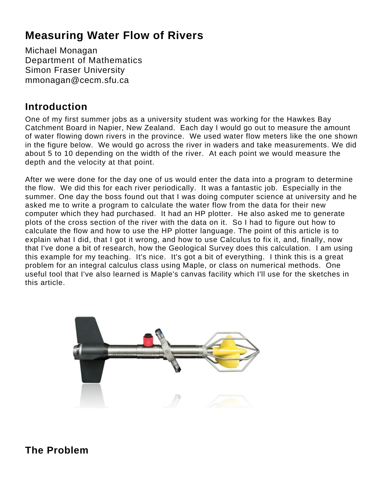# **Measuring Water Flow of Rivers**

Michael Monagan Department of Mathematics Simon Fraser University mmonagan@cecm.sfu.ca

# **Introduction**

One of my first summer jobs as a university student was working for the Hawkes Bay Catchment Board in Napier, New Zealand. Each day I would go out to measure the amount of water flowing down rivers in the province. We used water flow meters like the one shown in the figure below. We would go across the river in waders and take measurements. We did about 5 to 10 depending on the width of the river. At each point we would measure the depth and the velocity at that point.

After we were done for the day one of us would enter the data into a program to determine the flow. We did this for each river periodically. It was a fantastic job. Especially in the summer. One day the boss found out that I was doing computer science at university and he asked me to write a program to calculate the water flow from the data for their new computer which they had purchased. It had an HP plotter. He also asked me to generate plots of the cross section of the river with the data on it. So I had to figure out how to calculate the flow and how to use the HP plotter language. The point of this article is to explain what I did, that I got it wrong, and how to use Calculus to fix it, and, finally, now that I've done a bit of research, how the Geological Survey does this calculation. I am using this example for my teaching. It's nice. It's got a bit of everything. I think this is a great problem for an integral calculus class using Maple, or class on numerical methods. One useful tool that I've also learned is Maple's canvas facility which I'll use for the sketches in this article.



# **The Problem**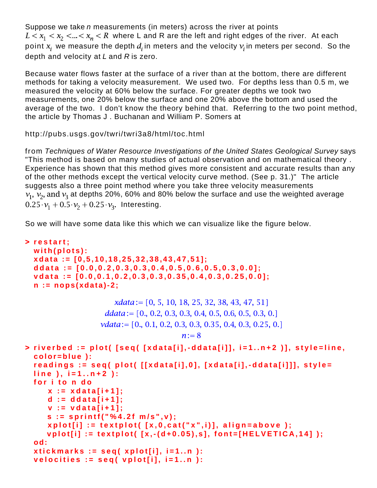Suppose we take n measurements (in meters) across the river at points  $L < x_1 < x_2 < ... < x_n < R$  where L and R are the left and right edges of the river. At each point  $x_i$  we measure the depth  $d_i$  in meters and the velocity  $v_i$  in meters per second. So the depth and velocity at  $L$  and  $R$  is zero.

Because water flows faster at the surface of a river than at the bottom, there are different methods for taking a velocity measurement. We used two. For depths less than 0.5 m, we measured the velocity at 60% below the surface. For greater depths we took two measurements, one 20% below the surface and one 20% above the bottom and used the average of the two. I don't know the theory behind that. Referring to the two point method, the article by Thomas J . Buchanan and William P. Somers at

http://pubs.usgs.gov/twri/twri3a8/html/toc.html

from Techniques of Water Resource Investigations of the United States Geological Survey says "This method is based on many studies of actual observation and on mathematical theory . Experience has shown that this method gives more consistent and accurate results than any of the other methods except the vertical velocity curve method. (See p. 31.)" The article suggests also a three point method where you take three velocity measurements  $v_1$ ,  $v_2$ , and  $v_3$  at depths 20%, 60% and 80% below the surface and use the weighted average  $0.25 \cdot v_1 + 0.5 \cdot v_2 + 0.25 \cdot v_3$ . Interesting.

So we will have some data like this which we can visualize like the figure below.

```
> 
restart;
 with(plots):
 xdata := [0,5,10,18,25,32,38,43,47,51];
 ddata := [0.0,0.2,0.3,0.3,0.4,0.5,0.6,0.5,0.3,0.0];
 vdata := [0.0,0.1,0.2,0.3,0.3,0.35,0.4,0.3,0.25,0.0];
 n := nops(xdata)-2;
                     xdata := [0, 5, 10, 18, 25, 32, 38, 43, 47, 51]ddata := [0, 0.2, 0.3, 0.3, 0.4, 0.5, 0.6, 0.5, 0.3, 0.]vdata := [0., 0.1, 0.2, 0.3, 0.3, 0.35, 0.4, 0.3, 0.25, 0.]n:=8> 
riverbed := plot( [seq( [xdata[i],-ddata[i]], i=1..n+2 )], style=line,
 color=blue ):
 readings := seq( plot( [[xdata[i],0], [xdata[i],-ddata[i]]], style=
 line ), i=1..n+2 ):
 for i to n do
      x := xdata[i+1];
      d := ddata[i+1];
      v := vdata[i+1];
      s := sprintf("%4.2f m/s",v);
      xplot[i] := textplot( [x,0,cat("x",i)], align=above );
      vplot[i] := textplot( [x,-(d+0.05),s], font=[HELVETICA,14] );
 od:
 xtickmarks := seq( xplot[i], i=1..n ):
 velocities := seq( vplot[i], i=1..n ):
```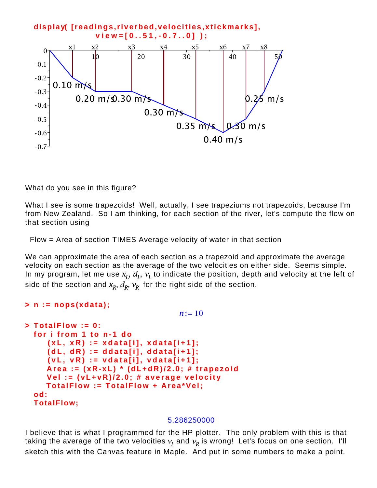

What do you see in this figure?

What I see is some trapezoids! Well, actually, I see trapeziums not trapezoids, because I'm from New Zealand. So I am thinking, for each section of the river, let's compute the flow on that section using

Flow = Area of section TIMES Average velocity of water in that section

We can approximate the area of each section as a trapezoid and approximate the average velocity on each section as the average of the two velocities on either side. Seems simple. In my program, let me use  $x_I$ ,  $d_I$ ,  $v_I$  to indicate the position, depth and velocity at the left of side of the section and  $x_R$ ,  $d_R$ ,  $v_R$  for the right side of the section.

```
> 
n := nops(xdata);
                                   n := 10> 
TotalFlow := 0:
 for i from 1 to n-1 do
      (xL, xR) := xdata[i], xdata[i+1];
     (dL, dR) := ddata[i], ddata[i+1];
      (vL, vR) := vdata[i], vdata[i+1];
     Area := (xR-xL) * (dL+dR)/2.0; # trapezoid
     Vel := (vL+vR)/2.0; # average velocity
     TotalFlow := TotalFlow + Area*Vel;
 od:
 TotalFlow;
```
#### 5.286250000

I believe that is what I programmed for the HP plotter. The only problem with this is that taking the average of the two velocities  $v_I$  and  $v_R$  is wrong! Let's focus on one section. I'll sketch this with the Canvas feature in Maple. And put in some numbers to make a point.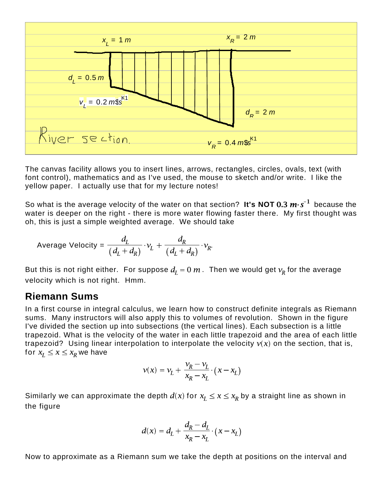

The canvas facility allows you to insert lines, arrows, rectangles, circles, ovals, text (with font control), mathematics and as I've used, the mouse to sketch and/or write. I like the yellow paper. I actually use that for my lecture notes!

So what is the average velocity of the water on that section? **It's NOT 0.3**  $m \cdot s^{-1}$  because the water is deeper on the right - there is more water flowing faster there. My first thought was oh, this is just a simple weighted average. We should take

Average Velocity = 
$$
\frac{d_L}{(d_L + d_R)} \cdot v_L + \frac{d_R}{(d_L + d_R)} \cdot v_R.
$$

But this is not right either. For suppose  $d<sub>r</sub> = 0$  m. Then we would get  $v<sub>R</sub>$  for the average velocity which is not right. Hmm.

### **Riemann Sums**

In a first course in integral calculus, we learn how to construct definite integrals as Riemann sums. Many instructors will also apply this to volumes of revolution. Shown in the figure I've divided the section up into subsections (the vertical lines). Each subsection is a little trapezoid. What is the velocity of the water in each little trapezoid and the area of each little trapezoid? Using linear interpolation to interpolate the velocity  $v(x)$  on the section, that is, for  $x_I \le x \le x_R$  we have

$$
v(x) = v_L + \frac{v_R - v_L}{x_R - x_L} \cdot (x - x_L)
$$

Similarly we can approximate the depth  $d(x)$  for  $x_1 \le x \le x_R$  by a straight line as shown in the figure

$$
d(x) = d_L + \frac{d_R - d_L}{x_R - x_L} \cdot (x - x_L)
$$

Now to approximate as a Riemann sum we take the depth at positions on the interval and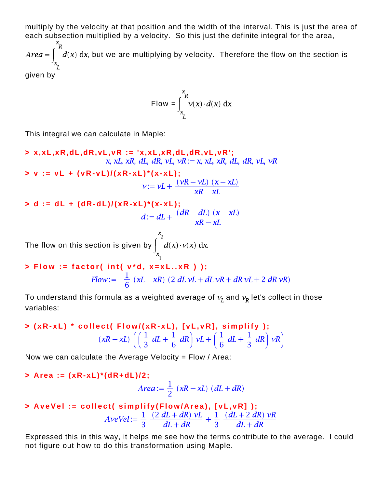multiply by the velocity at that position and the width of the interval. This is just the area of each subsection multiplied by a velocity. So this just the definite integral for the area,

 $Area = \int_{0}^{\infty} d(x) dx$ , but we are multiplying by velocity. Therefore the flow on the section is

given by

Flow = 
$$
\int_{x_L}^{x_R} v(x) \cdot d(x) dx
$$

This integral we can calculate in Maple:

**> x,xL,xR,dL,dR,vL,vR := 'x,xL,xR,dL,dR,vL,vR';** x, xL, xR, dL, dR, vL,  $vR := x$ , xL, xR, dL, dR, vL, vR **> v := vL + (vR-vL)/(xR-xL)\*(x-xL);**  $v := vL + \frac{(vR - vL) (x - xL)}{xR - xL}$ **> d := dL + (dR-dL)/(xR-xL)\*(x-xL);** The flow on this section is given by  $\int_{x}^{x_2} d(x) \cdot v(x) dx$ . **> Flow := factor( int( v\*d, x=xL..xR ) );**

Flow: 
$$
= -\frac{1}{6} (xL - xR) (2 dL vL + dL vR + dR vL + 2 dR vR)
$$

To understand this formula as a weighted average of  $v_I$  and  $v_R$  let's collect in those variables:

$$
\text{[xR-xL]} \cdot \text{collect} \left( \text{Flow} / (\text{xR-xL}), \text{[vL,vR]}, \text{simplify} \right);
$$
\n
$$
(\text{xR-xL}) \left( \left( \frac{1}{3} dL + \frac{1}{6} dR \right) \text{vL} + \left( \frac{1}{6} dL + \frac{1}{3} dR \right) \text{vR} \right)
$$

Now we can calculate the Average Velocity =  $Flow / Area$ :

**> Area := (xR-xL)\*(dR+dL)/2; > AveVel := collect( simplify(Flow/Area), [vL,vR] );** 

$$
PQVel := \frac{1}{3} \frac{1}{dL + dR} + \frac{1}{3} \frac{1}{dL + dR}
$$

Expressed this in this way, it helps me see how the terms contribute to the average. I could not figure out how to do this transformation using Maple.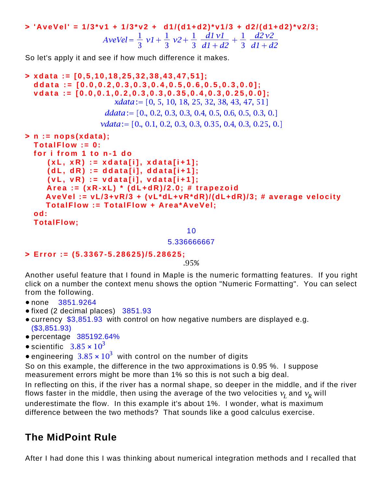**> 'AveVel' = 1/3\*v1 + 1/3\*v2 + d1/(d1+d2)\*v1/3 + d2/(d1+d2)\*v2/3;**

So let's apply it and see if how much difference it makes.

```
> 
xdata := [0,5,10,18,25,32,38,43,47,51];
 ddata := [0.0,0.2,0.3,0.3,0.4,0.5,0.6,0.5,0.3,0.0];
 vdata := [0.0,0.1,0.2,0.3,0.3,0.35,0.4,0.3,0.25,0.0];
                     xdata := [0, 5, 10, 18, 25, 32, 38, 43, 47, 51]ddata := [0, 0.2, 0.3, 0.3, 0.4, 0.5, 0.6, 0.5, 0.3, 0.]vdata := [0., 0.1, 0.2, 0.3, 0.3, 0.35, 0.4, 0.3, 0.25, 0.]> 
n := nops(xdata);
 TotalFlow := 0:
 for i from 1 to n-1 do
      (xL, xR) := xdata[i], xdata[i+1];
      (dL, dR) := ddata[i], ddata[i+1];
      (vL, vR) := vdata[i], vdata[i+1];
      Area := (xR-xL) * (dL+dR)/2.0; # trapezoid
     AveVel := vL/3+vR/3 + (vL*dL+vR*dR)/(dL+dR)/3; # average velocity
     TotalFlow := TotalFlow + Area*AveVel;
 od:
 TotalFlow;
```
10

5.336666667

```
> 
Error := (5.3367-5.28625)/5.28625;
```
.95%

Another useful feature that I found in Maple is the numeric formatting features. If you right click on a number the context menu shows the option "Numeric Formatting". You can select from the following.

- none 3851.9264
- fixed (2 decimal places) 3851.93
- currency \$3,851.93 with control on how negative numbers are displayed e.g. (\$3,851.93)
- percentage 385192.64%
- scientific  $3.85 \times 10^3$
- engineering  $3.85 \times 10^3$  with control on the number of digits

So on this example, the difference in the two approximations is 0.95 %. I suppose measurement errors might be more than 1% so this is not such a big deal.

In reflecting on this, if the river has a normal shape, so deeper in the middle, and if the river flows faster in the middle, then using the average of the two velocities  $v_I$  and  $v_R$  will

underestimate the flow. In this example it's about 1%. I wonder, what is maximum difference between the two methods? That sounds like a good calculus exercise.

## **The MidPoint Rule**

After I had done this I was thinking about numerical integration methods and I recalled that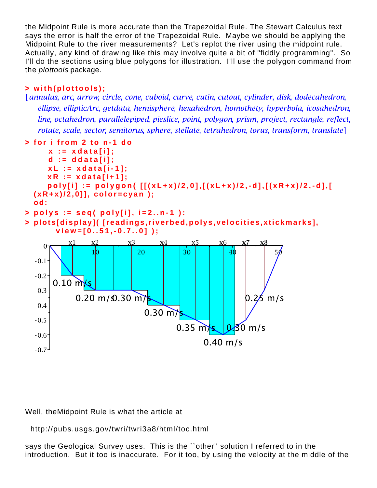the Midpoint Rule is more accurate than the Trapezoidal Rule. The Stewart Calculus text says the error is half the error of the Trapezoidal Rule. Maybe we should be applying the Midpoint Rule to the river measurements? Let's replot the river using the midpoint rule. Actually, any kind of drawing like this may involve quite a bit of "fiddly programming". So I'll do the sections using blue polygons for illustration. I'll use the polygon command from the plottools package.

### **> with(plottools);**

Lannulus, arc, arrow, circle, cone, cuboid, curve, cutin, cutout, cylinder, disk, dodecahedron, ellipse, ellipticArc, getdata, hemisphere, hexahedron, homothety, hyperbola, icosahedron, line, octahedron, parallelepiped, pieslice, point, polygon, prism, project, rectangle, reflect, rotate, scale, sector, semitorus, sphere, stellate, tetrahedron, torus, transform, translate



#### Well, theMidpoint Rule is what the article at

http://pubs.usgs.gov/twri/twri3a8/html/toc.html

says the Geological Survey uses. This is the ``other'' solution I referred to in the introduction. But it too is inaccurate. For it too, by using the velocity at the middle of the